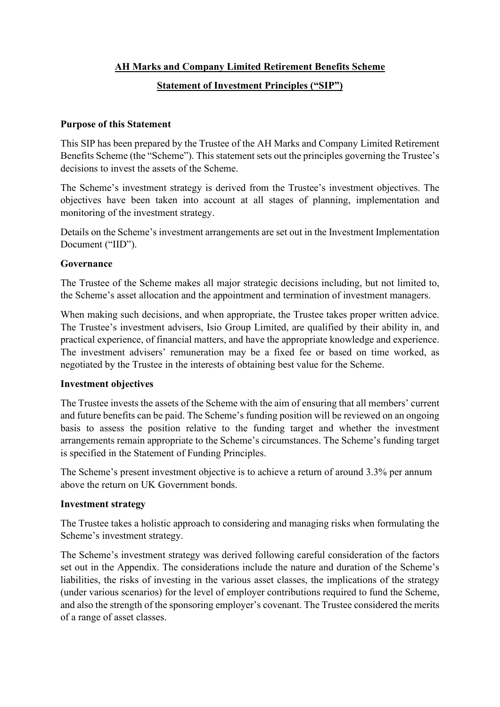### **AH Marks and Company Limited Retirement Benefits Scheme**

### **Statement of Investment Principles ("SIP")**

#### **Purpose of this Statement**

This SIP has been prepared by the Trustee of the AH Marks and Company Limited Retirement Benefits Scheme (the "Scheme"). This statement sets out the principles governing the Trustee's decisions to invest the assets of the Scheme.

The Scheme's investment strategy is derived from the Trustee's investment objectives. The objectives have been taken into account at all stages of planning, implementation and monitoring of the investment strategy.

Details on the Scheme's investment arrangements are set out in the Investment Implementation Document ("IID").

#### **Governance**

The Trustee of the Scheme makes all major strategic decisions including, but not limited to, the Scheme's asset allocation and the appointment and termination of investment managers.

When making such decisions, and when appropriate, the Trustee takes proper written advice. The Trustee's investment advisers, Isio Group Limited, are qualified by their ability in, and practical experience, of financial matters, and have the appropriate knowledge and experience. The investment advisers' remuneration may be a fixed fee or based on time worked, as negotiated by the Trustee in the interests of obtaining best value for the Scheme.

#### **Investment objectives**

The Trustee invests the assets of the Scheme with the aim of ensuring that all members' current and future benefits can be paid. The Scheme's funding position will be reviewed on an ongoing basis to assess the position relative to the funding target and whether the investment arrangements remain appropriate to the Scheme's circumstances. The Scheme's funding target is specified in the Statement of Funding Principles.

The Scheme's present investment objective is to achieve a return of around 3.3% per annum above the return on UK Government bonds.

#### **Investment strategy**

The Trustee takes a holistic approach to considering and managing risks when formulating the Scheme's investment strategy.

The Scheme's investment strategy was derived following careful consideration of the factors set out in the Appendix. The considerations include the nature and duration of the Scheme's liabilities, the risks of investing in the various asset classes, the implications of the strategy (under various scenarios) for the level of employer contributions required to fund the Scheme, and also the strength of the sponsoring employer's covenant. The Trustee considered the merits of a range of asset classes.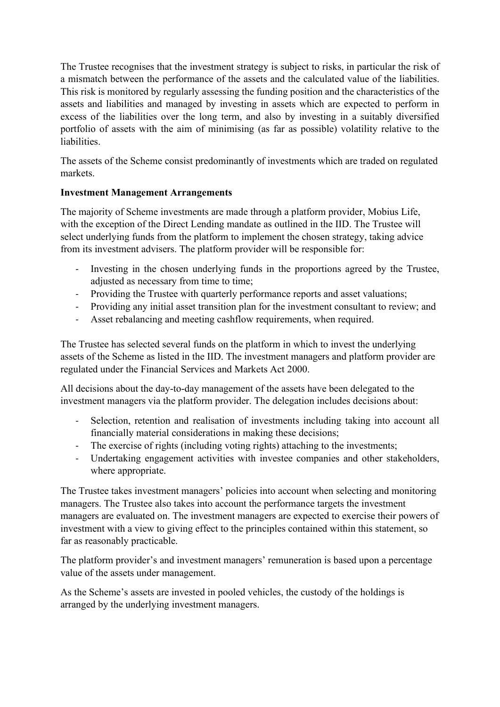The Trustee recognises that the investment strategy is subject to risks, in particular the risk of a mismatch between the performance of the assets and the calculated value of the liabilities. This risk is monitored by regularly assessing the funding position and the characteristics of the assets and liabilities and managed by investing in assets which are expected to perform in excess of the liabilities over the long term, and also by investing in a suitably diversified portfolio of assets with the aim of minimising (as far as possible) volatility relative to the liabilities.

The assets of the Scheme consist predominantly of investments which are traded on regulated markets.

### **Investment Management Arrangements**

The majority of Scheme investments are made through a platform provider, Mobius Life, with the exception of the Direct Lending mandate as outlined in the IID. The Trustee will select underlying funds from the platform to implement the chosen strategy, taking advice from its investment advisers. The platform provider will be responsible for:

- Investing in the chosen underlying funds in the proportions agreed by the Trustee, adjusted as necessary from time to time;
- Providing the Trustee with quarterly performance reports and asset valuations;
- Providing any initial asset transition plan for the investment consultant to review; and
- Asset rebalancing and meeting cashflow requirements, when required.

The Trustee has selected several funds on the platform in which to invest the underlying assets of the Scheme as listed in the IID. The investment managers and platform provider are regulated under the Financial Services and Markets Act 2000.

All decisions about the day-to-day management of the assets have been delegated to the investment managers via the platform provider. The delegation includes decisions about:

- Selection, retention and realisation of investments including taking into account all financially material considerations in making these decisions;
- The exercise of rights (including voting rights) attaching to the investments;
- Undertaking engagement activities with investee companies and other stakeholders, where appropriate.

The Trustee takes investment managers' policies into account when selecting and monitoring managers. The Trustee also takes into account the performance targets the investment managers are evaluated on. The investment managers are expected to exercise their powers of investment with a view to giving effect to the principles contained within this statement, so far as reasonably practicable.

The platform provider's and investment managers' remuneration is based upon a percentage value of the assets under management.

As the Scheme's assets are invested in pooled vehicles, the custody of the holdings is arranged by the underlying investment managers.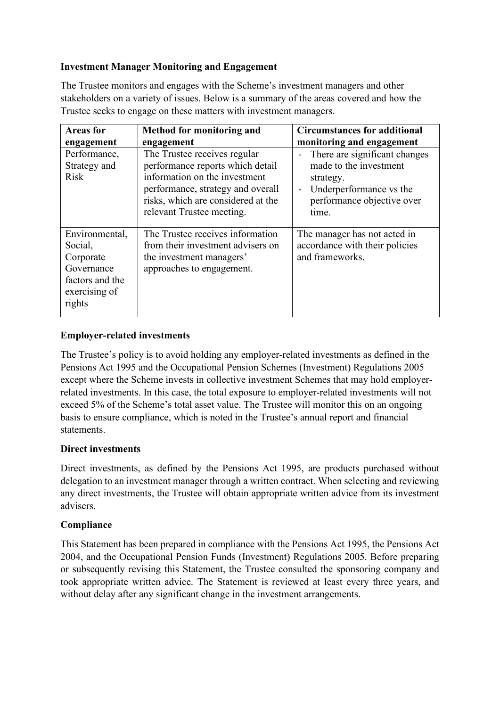## **Investment Manager Monitoring and Engagement**

The Trustee monitors and engages with the Scheme's investment managers and other stakeholders on a variety of issues. Below is a summary of the areas covered and how the Trustee seeks to engage on these matters with investment managers.

| <b>Areas for</b>                                                                                   | Method for monitoring and                                                                                                                                                                                 | <b>Circumstances for additional</b>                                                                                                                         |
|----------------------------------------------------------------------------------------------------|-----------------------------------------------------------------------------------------------------------------------------------------------------------------------------------------------------------|-------------------------------------------------------------------------------------------------------------------------------------------------------------|
| engagement                                                                                         | engagement                                                                                                                                                                                                | monitoring and engagement                                                                                                                                   |
| Performance,<br>Strategy and<br><b>Risk</b>                                                        | The Trustee receives regular<br>performance reports which detail<br>information on the investment<br>performance, strategy and overall<br>risks, which are considered at the<br>relevant Trustee meeting. | There are significant changes<br>made to the investment<br>strategy.<br>Underperformance vs the<br>$\qquad \qquad -$<br>performance objective over<br>time. |
| Environmental,<br>Social,<br>Corporate<br>Governance<br>factors and the<br>exercising of<br>rights | The Trustee receives information<br>from their investment advisers on<br>the investment managers'<br>approaches to engagement.                                                                            | The manager has not acted in<br>accordance with their policies<br>and frameworks.                                                                           |

### **Employer-related investments**

The Trustee's policy is to avoid holding any employer-related investments as defined in the Pensions Act 1995 and the Occupational Pension Schemes (Investment) Regulations 2005 except where the Scheme invests in collective investment Schemes that may hold employerrelated investments. In this case, the total exposure to employer-related investments will not exceed 5% of the Scheme's total asset value. The Trustee will monitor this on an ongoing basis to ensure compliance, which is noted in the Trustee's annual report and financial statements.

# **Direct investments**

Direct investments, as defined by the Pensions Act 1995, are products purchased without delegation to an investment manager through a written contract. When selecting and reviewing any direct investments, the Trustee will obtain appropriate written advice from its investment advisers.

# **Compliance**

This Statement has been prepared in compliance with the Pensions Act 1995, the Pensions Act 2004, and the Occupational Pension Funds (Investment) Regulations 2005. Before preparing or subsequently revising this Statement, the Trustee consulted the sponsoring company and took appropriate written advice. The Statement is reviewed at least every three years, and without delay after any significant change in the investment arrangements.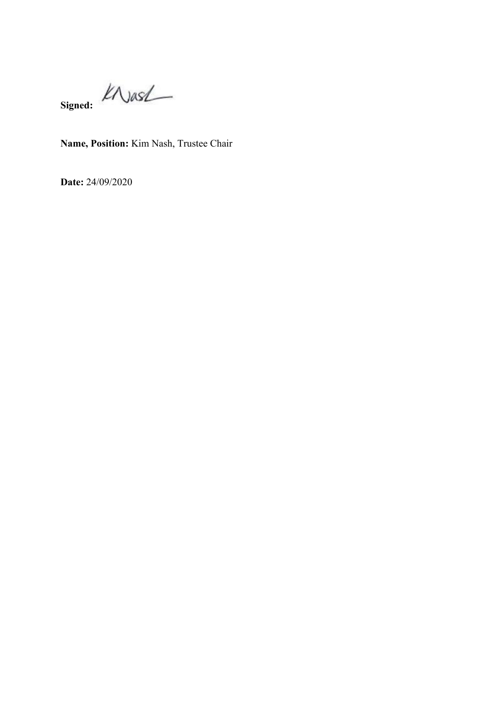**Signed:**

**Name, Position:** Kim Nash, Trustee Chair

**Date:** 24/09/2020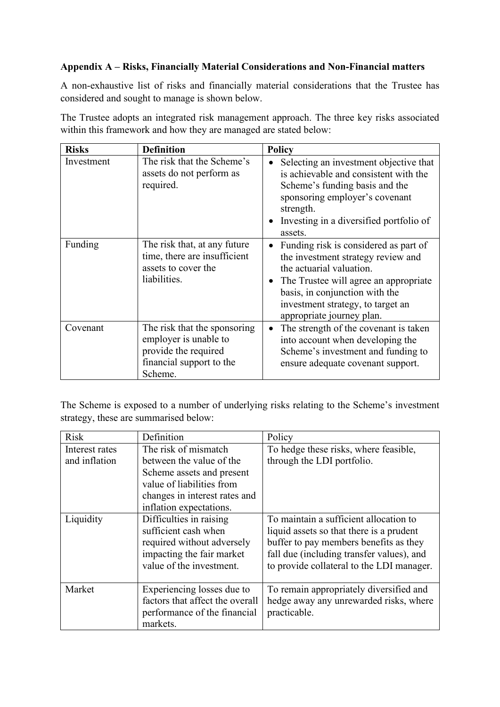## **Appendix A – Risks, Financially Material Considerations and Non-Financial matters**

A non-exhaustive list of risks and financially material considerations that the Trustee has considered and sought to manage is shown below.

The Trustee adopts an integrated risk management approach. The three key risks associated within this framework and how they are managed are stated below:

| <b>Risks</b> | <b>Definition</b>                                                                                                    | <b>Policy</b>                                                                                                                                                                                                                                        |
|--------------|----------------------------------------------------------------------------------------------------------------------|------------------------------------------------------------------------------------------------------------------------------------------------------------------------------------------------------------------------------------------------------|
| Investment   | The risk that the Scheme's<br>assets do not perform as<br>required.                                                  | Selecting an investment objective that<br>$\bullet$<br>is achievable and consistent with the<br>Scheme's funding basis and the<br>sponsoring employer's covenant<br>strength.<br>Investing in a diversified portfolio of<br>assets.                  |
| Funding      | The risk that, at any future<br>time, there are insufficient<br>assets to cover the<br>liabilities.                  | Funding risk is considered as part of<br>the investment strategy review and<br>the actuarial valuation.<br>The Trustee will agree an appropriate<br>basis, in conjunction with the<br>investment strategy, to target an<br>appropriate journey plan. |
| Covenant     | The risk that the sponsoring<br>employer is unable to<br>provide the required<br>financial support to the<br>Scheme. | The strength of the covenant is taken<br>into account when developing the<br>Scheme's investment and funding to<br>ensure adequate covenant support.                                                                                                 |

The Scheme is exposed to a number of underlying risks relating to the Scheme's investment strategy, these are summarised below:

| <b>Risk</b>    | Definition                      | Policy                                    |
|----------------|---------------------------------|-------------------------------------------|
| Interest rates | The risk of mismatch            | To hedge these risks, where feasible,     |
| and inflation  | between the value of the        | through the LDI portfolio.                |
|                | Scheme assets and present       |                                           |
|                | value of liabilities from       |                                           |
|                | changes in interest rates and   |                                           |
|                | inflation expectations.         |                                           |
| Liquidity      | Difficulties in raising         | To maintain a sufficient allocation to    |
|                | sufficient cash when            | liquid assets so that there is a prudent  |
|                | required without adversely      | buffer to pay members benefits as they    |
|                | impacting the fair market       | fall due (including transfer values), and |
|                | value of the investment.        | to provide collateral to the LDI manager. |
|                |                                 |                                           |
| Market         | Experiencing losses due to      | To remain appropriately diversified and   |
|                | factors that affect the overall | hedge away any unrewarded risks, where    |
|                | performance of the financial    | practicable.                              |
|                | markets.                        |                                           |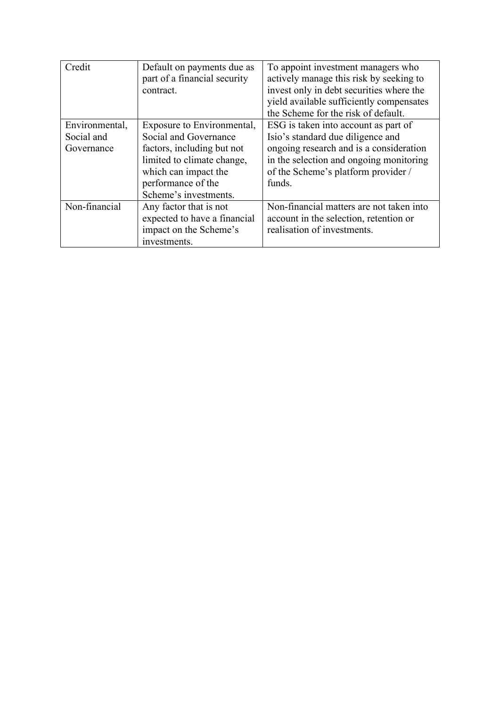| Credit         | Default on payments due as   | To appoint investment managers who       |
|----------------|------------------------------|------------------------------------------|
|                | part of a financial security | actively manage this risk by seeking to  |
|                | contract.                    | invest only in debt securities where the |
|                |                              | yield available sufficiently compensates |
|                |                              | the Scheme for the risk of default.      |
| Environmental, | Exposure to Environmental,   | ESG is taken into account as part of     |
| Social and     | Social and Governance        | Isio's standard due diligence and        |
| Governance     | factors, including but not   | ongoing research and is a consideration  |
|                | limited to climate change,   | in the selection and ongoing monitoring  |
|                | which can impact the         | of the Scheme's platform provider /      |
|                | performance of the           | funds.                                   |
|                | Scheme's investments.        |                                          |
| Non-financial  | Any factor that is not       | Non-financial matters are not taken into |
|                | expected to have a financial | account in the selection, retention or   |
|                | impact on the Scheme's       | realisation of investments.              |
|                | investments.                 |                                          |